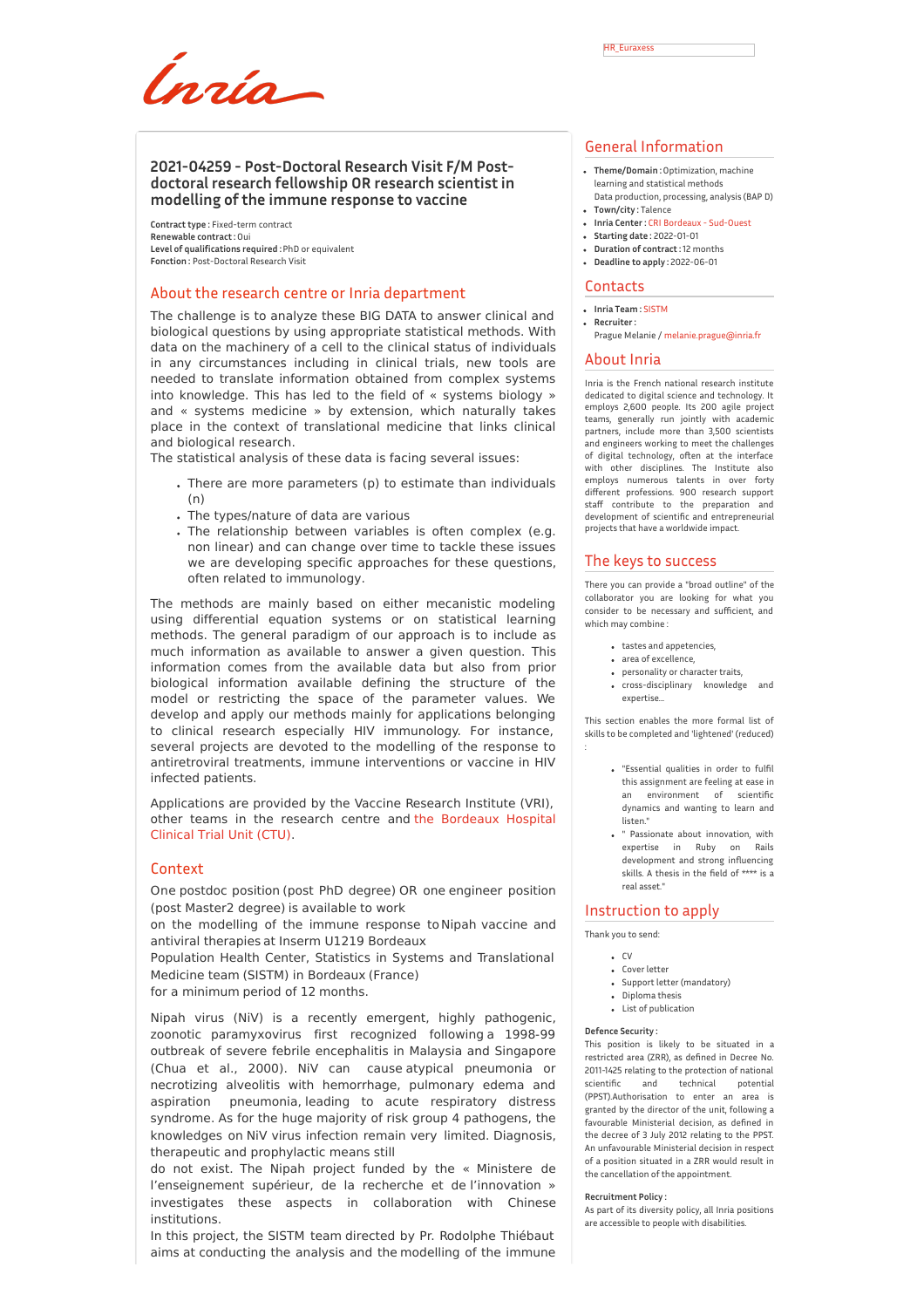Ínría

**Contract type :** Fixed-term contract **Renewable contract :**Oui **Level of qualifications required :**PhD or equivalent **Fonction :** Post-Doctoral Research Visit

## About the research centre or Inria department

The challenge is to analyze these BIG DATA to answer clinical and biological questions by using appropriate statistical methods. With data on the machinery of a cell to the clinical status of individuals in any circumstances including in clinical trials, new tools are needed to translate information obtained from complex systems into knowledge. This has led to the field of « systems biology » and « systems medicine » by extension, which naturally takes place in the context of translational medicine that links clinical and biological research.

The statistical analysis of these data is facing several issues:

- There are more parameters (p) to estimate than individuals (n)
- The types/nature of data are various
- The relationship between variables is often complex (e.g. non linear) and can change over time to tackle these issues we are developing specific approaches for these questions, often related to immunology.

The methods are mainly based on either mecanistic modeling using differential equation systems or on statistical learning methods. The general paradigm of our approach is to include as much information as available to answer a given question. This information comes from the available data but also from prior biological information available defining the structure of the model or restricting the space of the parameter values. We develop and apply our methods mainly for applications belonging to clinical research especially HIV immunology. For instance, several projects are devoted to the modelling of the response to antiretroviral treatments, immune interventions or vaccine in HIV infected patients.

Applications are provided by the Vaccine Research Institute (VRI), other teams in the research centre and the [Bordeaux](http://usmr.isped.u-bordeaux2.fr/) Hospital Clinical Trial Unit (CTU).

## Context

One postdoc position (post PhD degree) OR one engineer position (post Master2 degree) is available to work

on the modelling of the immune response to Nipah vaccine and antiviral therapies at Inserm U1219 Bordeaux

Population Health Center, Statistics in Systems and Translational Medicine team (SISTM) in Bordeaux (France)

for a minimum period of 12 months.

Nipah virus (NiV) is a recently emergent, highly pathogenic, zoonotic paramyxovirus first recognized following a 1998-99 outbreak of severe febrile encephalitis in Malaysia and Singapore (Chua et al., 2000). NiV can cause atypical pneumonia or necrotizing alveolitis with hemorrhage, pulmonary edema and aspiration pneumonia, leading to acute respiratory distress syndrome. As for the huge majority of risk group 4 pathogens, the knowledges on NiV virus infection remain very limited. Diagnosis, therapeutic and prophylactic means still

do not exist. The Nipah project funded by the « Ministere de l'enseignement supérieur, de la recherche et de l'innovation » investigates these aspects in collaboration with Chinese institutions.

In this project, the SISTM team directed by Pr. Rodolphe Thiébaut aims at conducting the analysis and the modelling of the immune

- **Theme/Domain :**Optimization, machine learning and statistical methods Data production, processing, analysis (BAP D)
- **Town/city :** Talence **Inria Center :** CRI Bordeaux - [Sud-Ouest](http://www.inria.fr/centre/bordeaux)
- **Starting date :** 2022-01-01
- **Duration of contract :**12 months
- **Deadline to apply :** 2022-06-01

#### **Contacts**

- **Inria Team :**[SISTM](https://www.inria.fr/equipes/SISTM)
- **Recruiter :** Prague Melanie / [melanie.prague@inria.fr](mailto:melanie.prague@inria.fr)

### About Inria

Inria is the French national research institute dedicated to digital science and technology. It employs 2,600 people. Its 200 agile project teams, generally run jointly with academic partners, include more than 3,500 scientists and engineers working to meet the challenges of digital technology, often at the interface with other disciplines. The Institute also employs numerous talents in over forty different professions. 900 research support staff contribute to the preparation and development of scientific and entrepreneurial projects that have a worldwide impact.

#### The keys to success

There you can provide a "broad outline" of the collaborator you are looking for what you consider to be necessary and sufficient, and which may combine :

- tastes and appetencies,
- area of excellence,
- personality or character traits,
- cross-disciplinary knowledge and expertise

This section enables the more formal list of skills to be completed and 'lightened' (reduced)

- "Essential qualities in order to fulfil this assignment are feeling at ease in an environment of scientific dynamics and wanting to learn and listen."
- " Passionate about innovation, with expertise in Ruby on Rails development and strong influencing skills. A thesis in the field of \*\*\*\* is a real asset."

## Instruction to apply

Thank you to send:

- $\cdot$  CV
- Cover letter
- Support letter (mandatory)
- Diploma thesis List of publication

**Defence Security :** This position is likely to be situated in a restricted area (ZRR), as defined in Decree No. 2011-1425 relating to the protection of national<br>scientific and technical notential scientific and technical (PPST).Authorisation to enter an area is granted by the director of the unit, following a favourable Ministerial decision, as defined in the decree of 3 July 2012 relating to the PPST. An unfavourable Ministerial decision in respect of a position situated in a ZRR would result in the cancellation of the appointment.

#### **Recruitment Policy :**

As part of its diversity policy, all Inria positions are accessible to people with disabilities.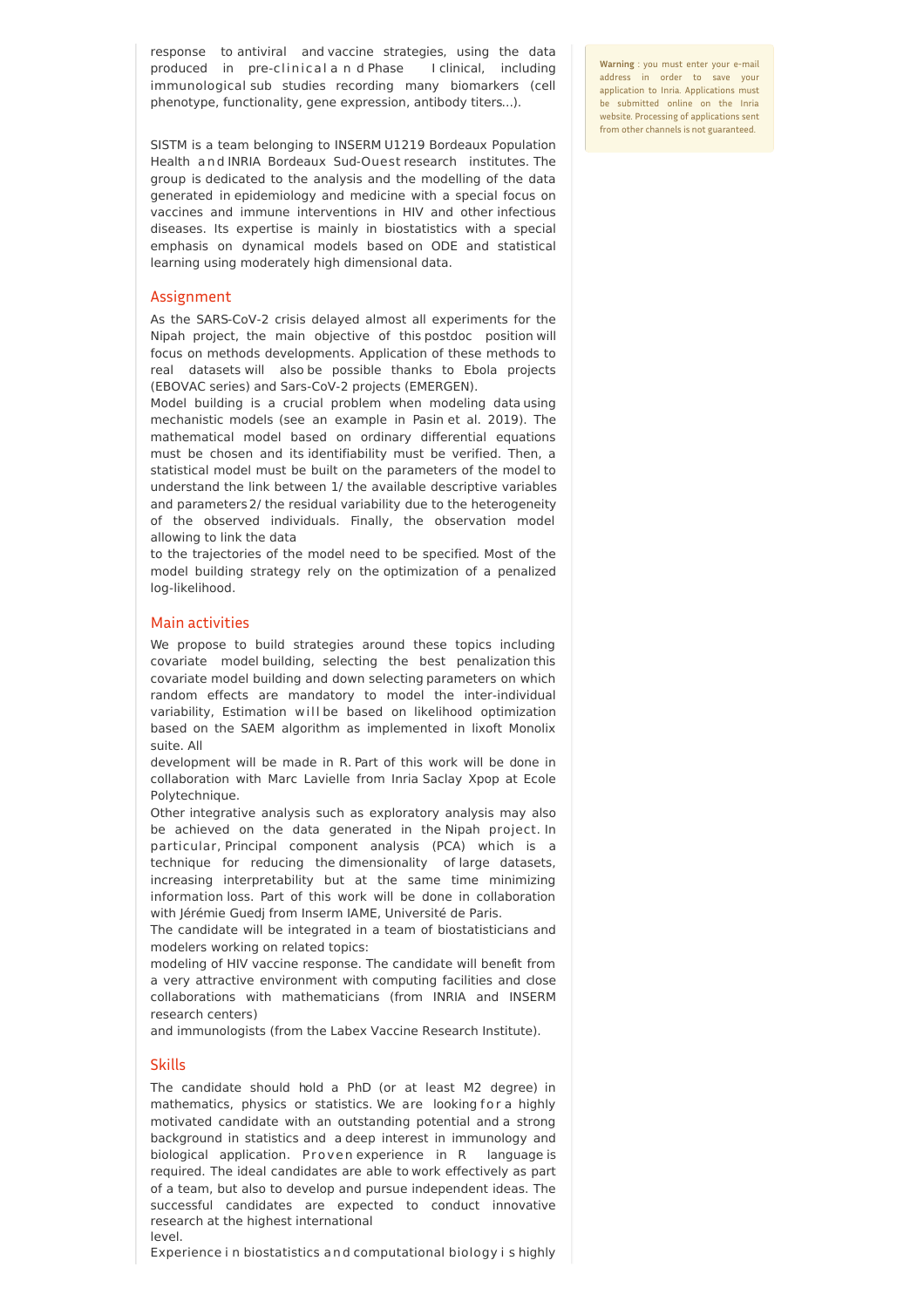response to antiviral and vaccine strategies, using the data produced in pre-clinical a n d Phase I clinical, including immunological sub studies recording many biomarkers (cell phenotype, functionality, gene expression, antibody titers...).

SISTM is a team belonging to INSERM U1219 Bordeaux Population Health and INRIA Bordeaux Sud-Ouest research institutes. The group is dedicated to the analysis and the modelling of the data generated in epidemiology and medicine with a special focus on vaccines and immune interventions in HIV and other infectious diseases. Its expertise is mainly in biostatistics with a special emphasis on dynamical models based on ODE and statistical learning using moderately high dimensional data.

# Assignment

As the SARS-CoV-2 crisis delayed almost all experiments for the Nipah project, the main objective of this postdoc position will focus on methods developments. Application of these methods to real datasets will also be possible thanks to Ebola projects (EBOVAC series) and Sars-CoV-2 projects (EMERGEN).

Model building is a crucial problem when modeling data using mechanistic models (see an example in Pasin et al. 2019). The mathematical model based on ordinary differential equations must be chosen and its identifiability must be verified. Then, a statistical model must be built on the parameters of the model to understand the link between 1/ the available descriptive variables and parameters 2/ the residual variability due to the heterogeneity of the observed individuals. Finally, the observation model allowing to link the data

to the trajectories of the model need to be specified. Most of the model building strategy rely on the optimization of a penalized log-likelihood.

## Main activities

We propose to build strategies around these topics including covariate model building, selecting the best penalization this covariate model building and down selecting parameters on which random effects are mandatory to model the inter-individual variability, Estimation will be based on likelihood optimization based on the SAEM algorithm as implemented in lixoft Monolix suite. All

development will be made in R. Part of this work will be done in collaboration with Marc Lavielle from Inria Saclay Xpop at Ecole Polytechnique.

Other integrative analysis such as exploratory analysis may also be achieved on the data generated in the Nipah project. In particular, Principal component analysis (PCA) which is a technique for reducing the dimensionality of large datasets, increasing interpretability but at the same time minimizing information loss. Part of this work will be done in collaboration with Jérémie Guedj from Inserm IAME, Université de Paris.

The candidate will be integrated in a team of biostatisticians and modelers working on related topics:

modeling of HIV vaccine response. The candidate will benefit from a very attractive environment with computing facilities and close collaborations with mathematicians (from INRIA and INSERM research centers)

and immunologists (from the Labex Vaccine Research Institute).

## Skills

The candidate should hold a PhD (or at least M2 degree) in mathematics, physics or statistics. We are looking for a highly motivated candidate with an outstanding potential and a strong background in statistics and a deep interest in immunology and biological application. Proven experience in R language is required. The ideal candidates are able to work effectively as part of a team, but also to develop and pursue independent ideas. The successful candidates are expected to conduct innovative research at the highest international

level.

Experience i n biostatistics a n d computational biology i s highly

**Warning** : you must enter your e-mail address in order to save your application to Inria. Applications must be submitted online on the Inria website. Processing of applications sent from other channels is not guaranteed.